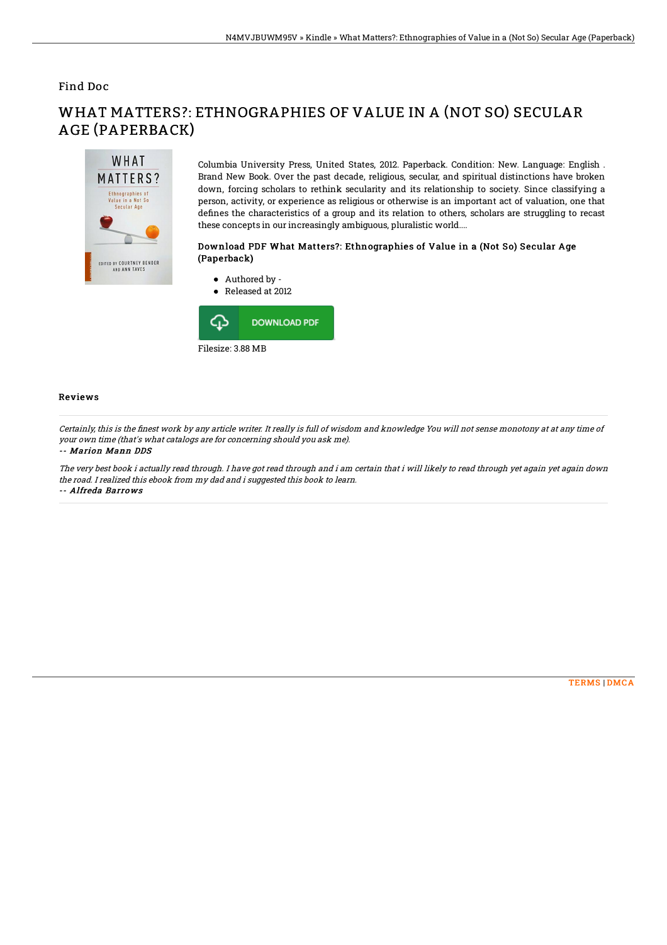## Find Doc

# WHAT MATTERS? Ethnographies of<br>Value in a Not So<br>Secular Age EDITED BY COURTNEY BENDER<br>AND ANN TAVES

WHAT MATTERS?: ETHNOGRAPHIES OF VALUE IN A (NOT SO) SECULAR AGE (PAPERBACK)

> Columbia University Press, United States, 2012. Paperback. Condition: New. Language: English . Brand New Book. Over the past decade, religious, secular, and spiritual distinctions have broken down, forcing scholars to rethink secularity and its relationship to society. Since classifying a person, activity, or experience as religious or otherwise is an important act of valuation, one that defines the characteristics of a group and its relation to others, scholars are struggling to recast these concepts in our increasingly ambiguous, pluralistic world....

### Download PDF What Matters?: Ethnographies of Value in a (Not So) Secular Age (Paperback)



### Reviews

Certainly, this is the 5nest work by any article writer. It really is full of wisdom and knowledge You will not sense monotony at at any time of your own time (that's what catalogs are for concerning should you ask me).

#### -- Marion Mann DDS

The very best book i actually read through. I have got read through and i am certain that i will likely to read through yet again yet again down the road. I realized this ebook from my dad and i suggested this book to learn. -- Alfreda Barrows